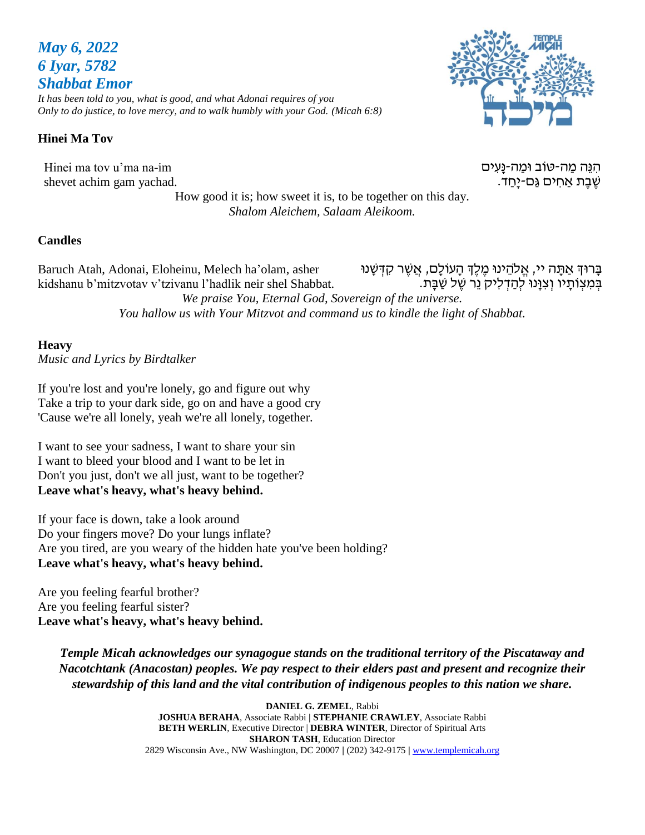# *May 6, 2022 6 Iyar, 5782 Shabbat Emor*

*It has been told to you, what is good, and what Adonai requires of you Only to do justice, to love mercy, and to walk humbly with your God. (Micah 6:8)*

# **Hinei Ma Tov**

Hinei ma tov u'ma na-im shevet achim gam yachad.

ּהִנֵּה מַה-טֹוב וּמַה-נַּעִים שֶׁבֶּת אַחִים גַּם-יַּחַד.

How good it is; how sweet it is, to be together on this day. *Shalom Aleichem, Salaam Aleikoom.*

# **Candles**

Baruch Atah, Adonai, Eloheinu, Melech ha'olam, asher kidshanu b'mitzvotav v'tzivanu l'hadlik neir shel Shabbat. בָּרוּדְ אַתָּה יי, אֱלֹהֵינוּ מֶלֶדְ הָעוֹלָם, אֲשֶׁר קִדְּשָּׁנוּ בְּמִצְוֹתַיו וְצִוּּנוּ לְהַדְלִיק נֵר שֵׁל שַׁבָּת. *We praise You, Eternal God, Sovereign of the universe. You hallow us with Your Mitzvot and command us to kindle the light of Shabbat.*

# **Heavy**

*Music and Lyrics by Birdtalker* 

If you're lost and you're lonely, go and figure out why Take a trip to your dark side, go on and have a good cry 'Cause we're all lonely, yeah we're all lonely, together.

I want to see your sadness, I want to share your sin I want to bleed your blood and I want to be let in Don't you just, don't we all just, want to be together? **Leave what's heavy, what's heavy behind.**

If your face is down, take a look around Do your fingers move? Do your lungs inflate? Are you tired, are you weary of the hidden hate you've been holding? **Leave what's heavy, what's heavy behind.**

Are you feeling fearful brother? Are you feeling fearful sister? **Leave what's heavy, what's heavy behind.**

*Temple Micah acknowledges our synagogue stands on the traditional territory of the Piscataway and Nacotchtank (Anacostan) peoples. We pay respect to their elders past and present and recognize their stewardship of this land and the vital contribution of indigenous peoples to this nation we share.*

> **DANIEL G. ZEMEL**, Rabbi **JOSHUA BERAHA**, Associate Rabbi **| STEPHANIE CRAWLEY**, Associate Rabbi **BETH WERLIN**, Executive Director | **DEBRA WINTER**, Director of Spiritual Arts **SHARON TASH**, Education Director 2829 Wisconsin Ave., NW Washington, DC 20007 **|** (202) 342-9175 **|** [www.templemicah.org](http://www.templemicah.org/)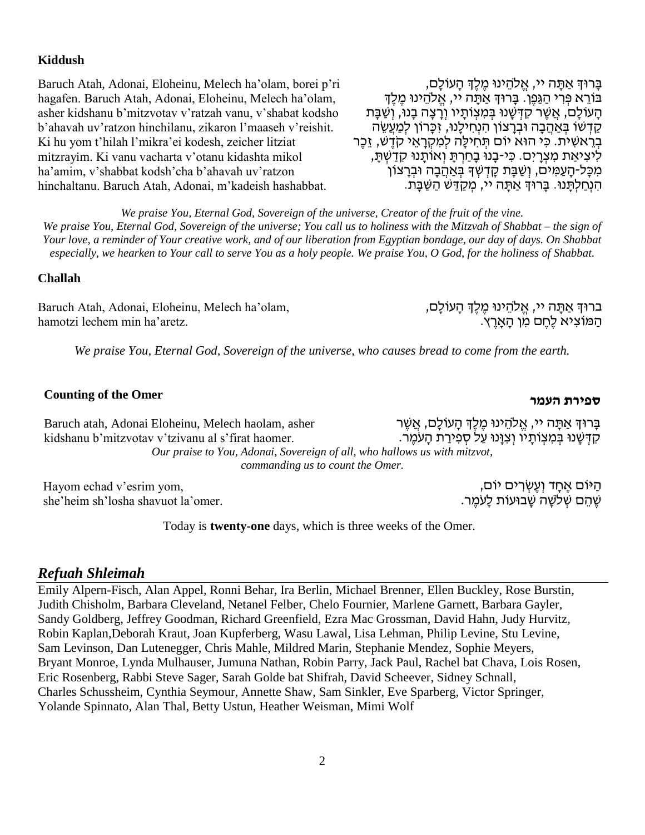### **Kiddush**

Baruch Atah, Adonai, Eloheinu, Melech ha'olam, borei p'ri hagafen. Baruch Atah, Adonai, Eloheinu, Melech ha'olam, asher kidshanu b'mitzvotav v'ratzah vanu, v'shabat kodsho b'ahavah uv'ratzon hinchilanu, zikaron l'maaseh v'reishit. Ki hu yom t'hilah l'mikra'ei kodesh, zeicher litziat mitzrayim. Ki vanu vacharta v'otanu kidashta mikol ha'amim, v'shabbat kodsh'cha b'ahavah uv'ratzon hinchaltanu. Baruch Atah, Adonai, m'kadeish hashabbat.

בָּרוּךְ אַתָּה יי, אֱלֹהֵינוּ מֵלֵךְ הָעוֹלָם, בּוֹרֵא פִּרְי הַגַּפֵן. בָּרוּךְּ אַתָּה יי, אֱלֹהֵינוּ מֶלֵךְ הַעוֹלַם, אֲשֶׁר קִדְּשָׁנוּ בְּמִצְוֹתַיו וְרַצָּה בָנוּ, וְשַׁבָּת קַדְשׁוֹ בְּאַהֲבָה וּבְרַצוֹן הִנְחִילֵנוּ, זִכֲרוֹן לִמְעֵשֶׂה בְּרֵאשִׁית. כִּי הוּא יוֹם תְּחִילָה לִמְקָרָאֵי קֹדֵשׁ, זֶכֶּר לִיצִיאַת מִצְרַיִם. כִּי-בָנוּ בַחַרְתַּ וְאוֹתֲנוּ קִדַשְׁתַּ, ֹמְכָּל-הָעַמִּים, וְשַׁבָּת קָדְשְׁךָ בְּאַהֲבָה וּבְרָצוֹן הִ נְּחַ לְּתָּ נּו. בָּרּוְך אַ תָּ ה יי, מְּ קַ דֵּ ש הַ שַ בָּ ת.

*We praise You, Eternal God, Sovereign of the universe, Creator of the fruit of the vine. We praise You, Eternal God, Sovereign of the universe; You call us to holiness with the Mitzvah of Shabbat – the sign of Your love, a reminder of Your creative work, and of our liberation from Egyptian bondage, our day of days. On Shabbat especially, we hearken to Your call to serve You as a holy people. We praise You, O God, for the holiness of Shabbat.*

## **Challah**

Baruch Atah, Adonai, Eloheinu, Melech ha'olam, hamotzi lechem min ha'aretz.

ברוּךְ אַתָּה יי, אֱלֹהֵינוּ מֶלֶךְ הָעוֹלָם, הַמּוֹצִיא לֶחֶם מִן הָאָרֶץ.

*We praise You, Eternal God, Sovereign of the universe, who causes bread to come from the earth.*

# **העמר ספירת Counting of the Omer**

ַּ בְּרוּדְ אַתַּה יי, אֱלֹהֵינוּ מֶלֶדְּ הַעוֹלָם, אֲשֶׁר קִ דְּ שָּ נּו בְּ מִ צְּ ֹותָּ יו וְּ צִ ּוָּנּו עַ ל סְּ פִ ירַ ת הָּ עֹמֶׁ ר. Baruch atah, Adonai Eloheinu, Melech haolam, asher kidshanu b'mitzvotav v'tzivanu al s'firat haomer. *Our praise to You, Adonai, Sovereign of all, who hallows us with mitzvot, commanding us to count the Omer.*

Hayom echad v'esrim yom, she'heim sh'losha shavuot la'omer.

Today is **twenty-one** days, which is three weeks of the Omer.

### *Refuah Shleimah*

Emily Alpern-Fisch, Alan Appel, Ronni Behar, Ira Berlin, Michael Brenner, Ellen Buckley, Rose Burstin, Judith Chisholm, Barbara Cleveland, Netanel Felber, Chelo Fournier, Marlene Garnett, Barbara Gayler, Sandy Goldberg, Jeffrey Goodman, Richard Greenfield, Ezra Mac Grossman, David Hahn, Judy Hurvitz, Robin Kaplan,Deborah Kraut, Joan Kupferberg, Wasu Lawal, Lisa Lehman, Philip Levine, Stu Levine, Sam Levinson, Dan Lutenegger, Chris Mahle, Mildred Marin, Stephanie Mendez, Sophie Meyers, Bryant Monroe, Lynda Mulhauser, Jumuna Nathan, Robin Parry, Jack Paul, Rachel bat Chava, Lois Rosen, Eric Rosenberg, Rabbi Steve Sager, Sarah Golde bat Shifrah, David Scheever, Sidney Schnall, Charles Schussheim, Cynthia Seymour, Annette Shaw, Sam Sinkler, Eve Sparberg, Victor Springer, Yolande Spinnato, Alan Thal, Betty Ustun, Heather Weisman, Mimi Wolf

ָּהַיֹּוּם אֶחָד וְעֶשְׂרִים יוֹם, ְשֶׁהֵּם שְׁלֹשָׁה שָׁבוּעוֹת לָעֹמֶר.